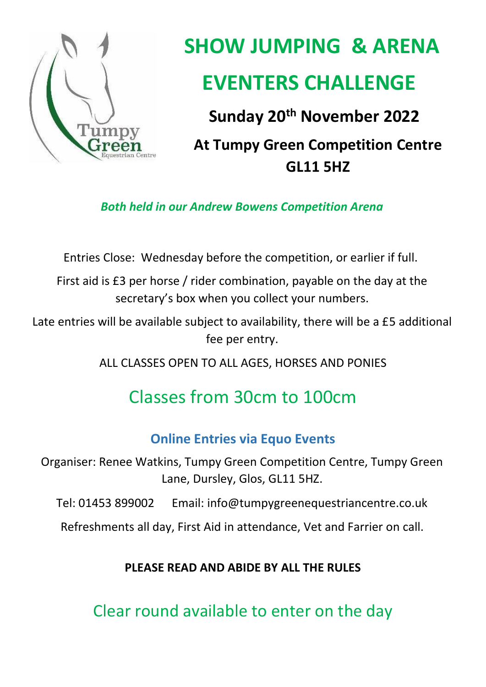

# **SHOW JUMPING & ARENA EVENTERS CHALLENGE**

**Sunday 20th November 2022**

**At Tumpy Green Competition Centre GL11 5HZ** 

*Both held in our Andrew Bowens Competition Arena*

Entries Close: Wednesday before the competition, or earlier if full.

First aid is £3 per horse / rider combination, payable on the day at the secretary's box when you collect your numbers.

Late entries will be available subject to availability, there will be a £5 additional fee per entry.

ALL CLASSES OPEN TO ALL AGES, HORSES AND PONIES

# Classes from 30cm to 100cm

# **Online Entries via Equo Events**

Organiser: Renee Watkins, Tumpy Green Competition Centre, Tumpy Green Lane, Dursley, Glos, GL11 5HZ.

Tel: 01453 899002 Email: info@tumpygreenequestriancentre.co.uk

Refreshments all day, First Aid in attendance, Vet and Farrier on call.

## **PLEASE READ AND ABIDE BY ALL THE RULES**

Clear round available to enter on the day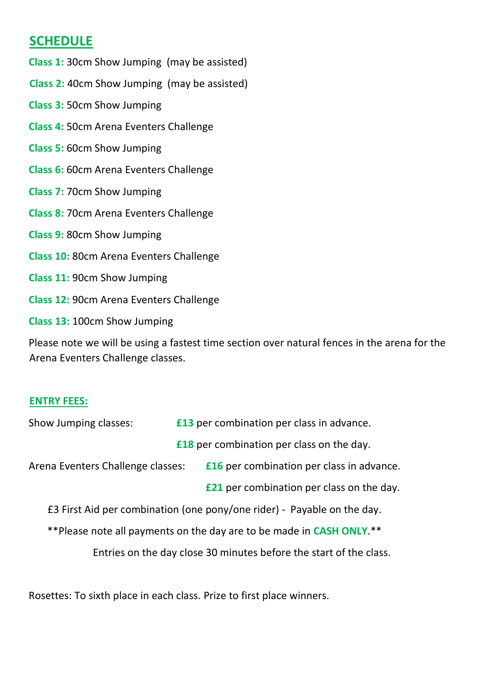### **SCHEDULE**

**Class 1:** 30cm Show Jumping (may be assisted) **Class 2:** 40cm Show Jumping (may be assisted) **Class 3:** 50cm Show Jumping **Class 4:** 50cm Arena Eventers Challenge **Class 5:** 60cm Show Jumping **Class 6:** 60cm Arena Eventers Challenge **Class 7:** 70cm Show Jumping **Class 8:** 70cm Arena Eventers Challenge **Class 9:** 80cm Show Jumping **Class 10:** 80cm Arena Eventers Challenge **Class 11:** 90cm Show Jumping **Class 12:** 90cm Arena Eventers Challenge **Class 13:** 100cm Show Jumping

Please note we will be using a fastest time section over natural fences in the arena for the Arena Eventers Challenge classes.

#### **ENTRY FEES:**

| Show Jumping classes:                                                   | <b>£13</b> per combination per class in advance. |                                                  |
|-------------------------------------------------------------------------|--------------------------------------------------|--------------------------------------------------|
|                                                                         |                                                  | <b>£18</b> per combination per class on the day. |
| Arena Eventers Challenge classes:                                       |                                                  | <b>£16</b> per combination per class in advance. |
|                                                                         |                                                  | <b>£21</b> per combination per class on the day. |
| E3 First Aid per combination (one pony/one rider) - Payable on the day. |                                                  |                                                  |
| ** Please note all payments on the day are to be made in CASH ONLY. **  |                                                  |                                                  |
| Entries on the day close 30 minutes before the start of the class.      |                                                  |                                                  |
|                                                                         |                                                  |                                                  |

Rosettes: To sixth place in each class. Prize to first place winners.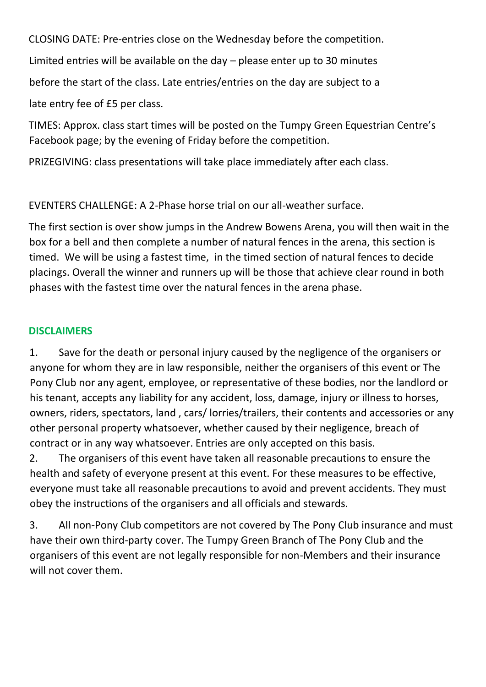CLOSING DATE: Pre-entries close on the Wednesday before the competition.

Limited entries will be available on the day – please enter up to 30 minutes

before the start of the class. Late entries/entries on the day are subject to a

late entry fee of £5 per class.

TIMES: Approx. class start times will be posted on the Tumpy Green Equestrian Centre's Facebook page; by the evening of Friday before the competition.

PRIZEGIVING: class presentations will take place immediately after each class.

EVENTERS CHALLENGE: A 2-Phase horse trial on our all-weather surface.

The first section is over show jumps in the Andrew Bowens Arena, you will then wait in the box for a bell and then complete a number of natural fences in the arena, this section is timed. We will be using a fastest time, in the timed section of natural fences to decide placings. Overall the winner and runners up will be those that achieve clear round in both phases with the fastest time over the natural fences in the arena phase.

#### **DISCLAIMERS**

1. Save for the death or personal injury caused by the negligence of the organisers or anyone for whom they are in law responsible, neither the organisers of this event or The Pony Club nor any agent, employee, or representative of these bodies, nor the landlord or his tenant, accepts any liability for any accident, loss, damage, injury or illness to horses, owners, riders, spectators, land , cars/ lorries/trailers, their contents and accessories or any other personal property whatsoever, whether caused by their negligence, breach of contract or in any way whatsoever. Entries are only accepted on this basis.

2. The organisers of this event have taken all reasonable precautions to ensure the health and safety of everyone present at this event. For these measures to be effective, everyone must take all reasonable precautions to avoid and prevent accidents. They must obey the instructions of the organisers and all officials and stewards.

3. All non-Pony Club competitors are not covered by The Pony Club insurance and must have their own third-party cover. The Tumpy Green Branch of The Pony Club and the organisers of this event are not legally responsible for non-Members and their insurance will not cover them.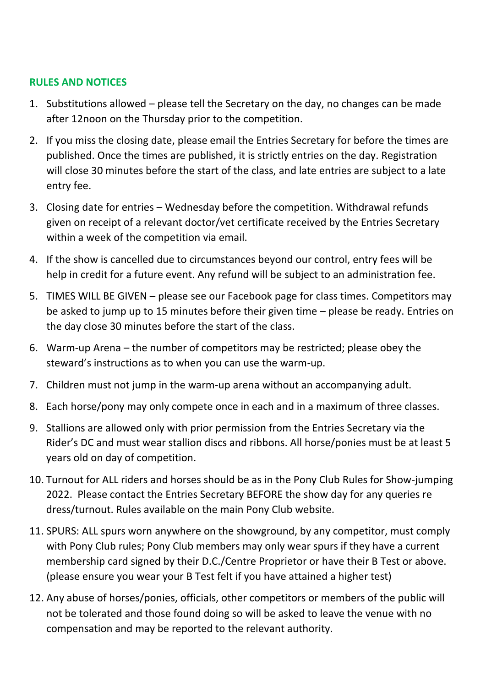#### **RULES AND NOTICES**

- 1. Substitutions allowed please tell the Secretary on the day, no changes can be made after 12noon on the Thursday prior to the competition.
- 2. If you miss the closing date, please email the Entries Secretary for before the times are published. Once the times are published, it is strictly entries on the day. Registration will close 30 minutes before the start of the class, and late entries are subject to a late entry fee.
- 3. Closing date for entries Wednesday before the competition. Withdrawal refunds given on receipt of a relevant doctor/vet certificate received by the Entries Secretary within a week of the competition via email.
- 4. If the show is cancelled due to circumstances beyond our control, entry fees will be help in credit for a future event. Any refund will be subject to an administration fee.
- 5. TIMES WILL BE GIVEN please see our Facebook page for class times. Competitors may be asked to jump up to 15 minutes before their given time – please be ready. Entries on the day close 30 minutes before the start of the class.
- 6. Warm-up Arena the number of competitors may be restricted; please obey the steward's instructions as to when you can use the warm-up.
- 7. Children must not jump in the warm-up arena without an accompanying adult.
- 8. Each horse/pony may only compete once in each and in a maximum of three classes.
- 9. Stallions are allowed only with prior permission from the Entries Secretary via the Rider's DC and must wear stallion discs and ribbons. All horse/ponies must be at least 5 years old on day of competition.
- 10. Turnout for ALL riders and horses should be as in the Pony Club Rules for Show-jumping 2022. Please contact the Entries Secretary BEFORE the show day for any queries re dress/turnout. Rules available on the main Pony Club website.
- 11. SPURS: ALL spurs worn anywhere on the showground, by any competitor, must comply with Pony Club rules; Pony Club members may only wear spurs if they have a current membership card signed by their D.C./Centre Proprietor or have their B Test or above. (please ensure you wear your B Test felt if you have attained a higher test)
- 12. Any abuse of horses/ponies, officials, other competitors or members of the public will not be tolerated and those found doing so will be asked to leave the venue with no compensation and may be reported to the relevant authority.